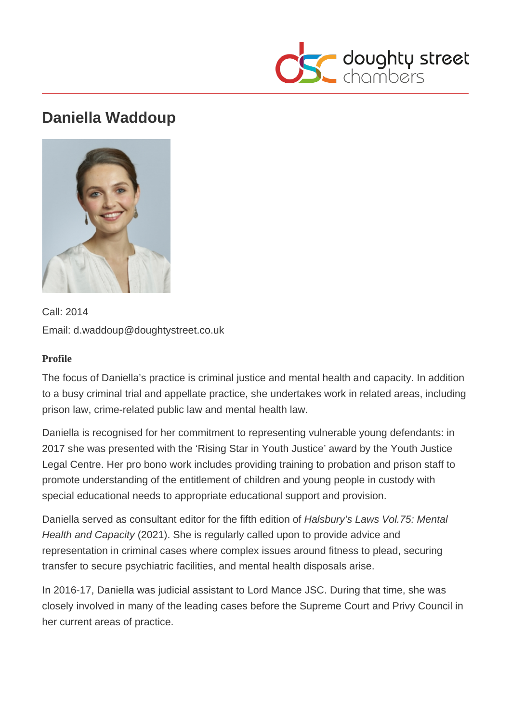

# **Daniella Waddoup**



Call: 2014 Email: d.waddoup@doughtystreet.co.uk

#### **Profile**

The focus of Daniella's practice is criminal justice and mental health and capacity. In addition to a busy criminal trial and appellate practice, she undertakes work in related areas, including prison law, crime-related public law and mental health law.

Daniella is recognised for her commitment to representing vulnerable young defendants: in 2017 she was presented with the 'Rising Star in Youth Justice' award by the Youth Justice Legal Centre. Her pro bono work includes providing training to probation and prison staff to promote understanding of the entitlement of children and young people in custody with special educational needs to appropriate educational support and provision.

Daniella served as consultant editor for the fifth edition of Halsbury's Laws Vol.75: Mental Health and Capacity (2021). She is regularly called upon to provide advice and representation in criminal cases where complex issues around fitness to plead, securing transfer to secure psychiatric facilities, and mental health disposals arise.

In 2016-17, Daniella was judicial assistant to Lord Mance JSC. During that time, she was closely involved in many of the leading cases before the Supreme Court and Privy Council in her current areas of practice.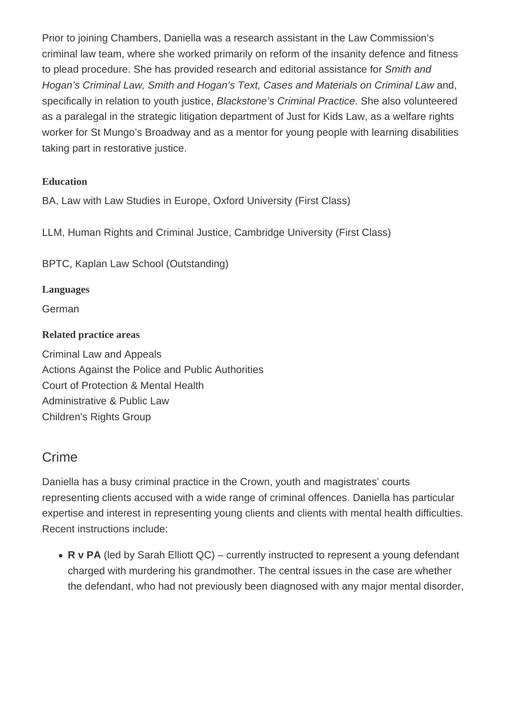Prior to joining Chambers, Daniella was a research assistant in the Law Commission's criminal law team, where she worked primarily on reform of the insanity defence and fitness to plead procedure. She has provided research and editorial assistance for Smith and Hogan's Criminal Law, Smith and Hogan's Text, Cases and Materials on Criminal Law and, specifically in relation to youth justice, Blackstone's Criminal Practice. She also volunteered as a paralegal in the strategic litigation department of Just for Kids Law, as a welfare rights worker for St Mungo's Broadway and as a mentor for young people with learning disabilities taking part in restorative justice.

#### **Education**

BA, Law with Law Studies in Europe, Oxford University (First Class)

LLM, Human Rights and Criminal Justice, Cambridge University (First Class)

BPTC, Kaplan Law School (Outstanding)

**Languages**

German

#### **Related practice areas**

Criminal Law and Appeals Actions Against the Police and Public Authorities Court of Protection & Mental Health Administrative & Public Law Children's Rights Group

### **Crime**

Daniella has a busy criminal practice in the Crown, youth and magistrates' courts representing clients accused with a wide range of criminal offences. Daniella has particular expertise and interest in representing young clients and clients with mental health difficulties. Recent instructions include:

• **R v PA** (led by Sarah Elliott QC) – currently instructed to represent a young defendant charged with murdering his grandmother. The central issues in the case are whether the defendant, who had not previously been diagnosed with any major mental disorder,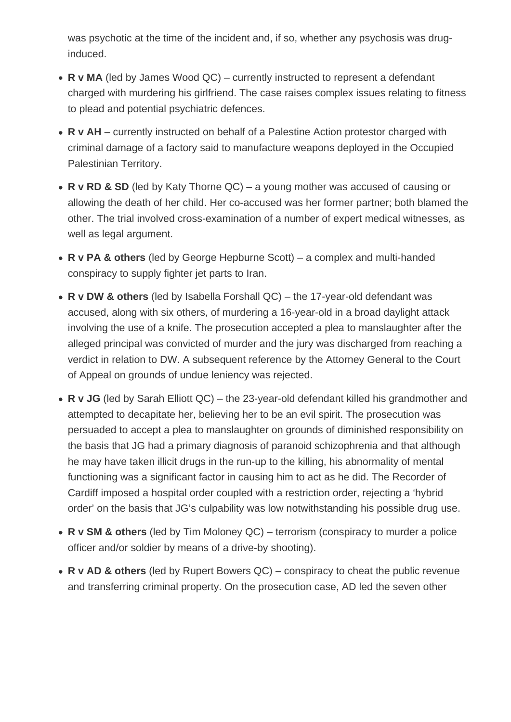was psychotic at the time of the incident and, if so, whether any psychosis was druginduced.

- **R v MA** (led by James Wood QC) currently instructed to represent a defendant charged with murdering his girlfriend. The case raises complex issues relating to fitness to plead and potential psychiatric defences.
- **R v AH** currently instructed on behalf of a Palestine Action protestor charged with criminal damage of a factory said to manufacture weapons deployed in the Occupied Palestinian Territory.
- **R v RD & SD** (led by Katy Thorne QC) a young mother was accused of causing or allowing the death of her child. Her co-accused was her former partner; both blamed the other. The trial involved cross-examination of a number of expert medical witnesses, as well as legal argument.
- **R v PA & others** (led by George Hepburne Scott) a complex and multi-handed conspiracy to supply fighter jet parts to Iran.
- **R v DW & others** (led by Isabella Forshall QC) the 17-year-old defendant was accused, along with six others, of murdering a 16-year-old in a broad daylight attack involving the use of a knife. The prosecution accepted a plea to manslaughter after the alleged principal was convicted of murder and the jury was discharged from reaching a verdict in relation to DW. A subsequent reference by the Attorney General to the Court of Appeal on grounds of undue leniency was rejected.
- **R v JG** (led by Sarah Elliott QC) the 23-year-old defendant killed his grandmother and attempted to decapitate her, believing her to be an evil spirit. The prosecution was persuaded to accept a plea to manslaughter on grounds of diminished responsibility on the basis that JG had a primary diagnosis of paranoid schizophrenia and that although he may have taken illicit drugs in the run-up to the killing, his abnormality of mental functioning was a significant factor in causing him to act as he did. The Recorder of Cardiff imposed a hospital order coupled with a restriction order, rejecting a 'hybrid order' on the basis that JG's culpability was low notwithstanding his possible drug use.
- **R v SM & others** (led by Tim Moloney QC) terrorism (conspiracy to murder a police officer and/or soldier by means of a drive-by shooting).
- **R v AD & others** (led by Rupert Bowers QC) conspiracy to cheat the public revenue and transferring criminal property. On the prosecution case, AD led the seven other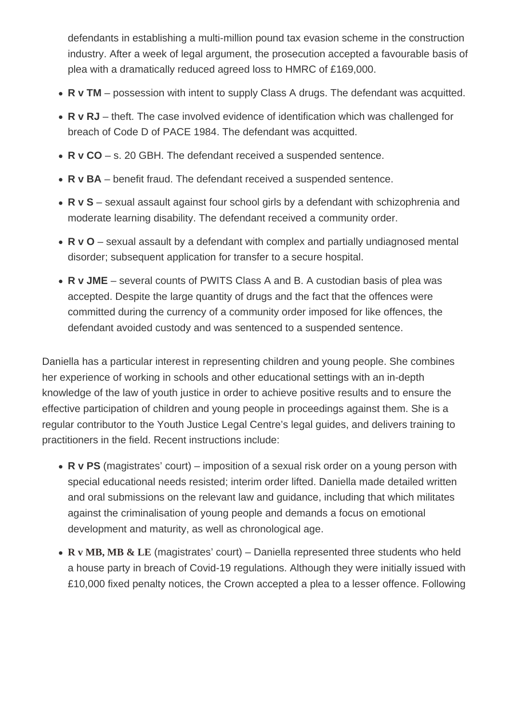defendants in establishing a multi-million pound tax evasion scheme in the construction industry. After a week of legal argument, the prosecution accepted a favourable basis of plea with a dramatically reduced agreed loss to HMRC of £169,000.

- R v TM possession with intent to supply Class A drugs. The defendant was acquitted.
- R v RJ theft. The case involved evidence of identification which was challenged for breach of Code D of PACE 1984. The defendant was acquitted.
- R v CO s. 20 GBH. The defendant received a suspended sentence.
- R v BA benefit fraud. The defendant received a suspended sentence.
- R v S sexual assault against four school girls by a defendant with schizophrenia and moderate learning disability. The defendant received a community order.
- R v O sexual assault by a defendant with complex and partially undiagnosed mental disorder; subsequent application for transfer to a secure hospital.
- R v JME several counts of PWITS Class A and B. A custodian basis of plea was accepted. Despite the large quantity of drugs and the fact that the offences were committed during the currency of a community order imposed for like offences, the defendant avoided custody and was sentenced to a suspended sentence.

Daniella has a particular interest in representing children and young people. She combines her experience of working in schools and other educational settings with an in-depth knowledge of the law of youth justice in order to achieve positive results and to ensure the effective participation of children and young people in proceedings against them. She is a regular contributor to the Youth Justice Legal Centre's legal guides, and delivers training to practitioners in the field. Recent instructions include:

- R v PS (magistrates' court) imposition of a sexual risk order on a young person with special educational needs resisted; interim order lifted. Daniella made detailed written and oral submissions on the relevant law and guidance, including that which militates against the criminalisation of young people and demands a focus on emotional development and maturity, as well as chronological age.
- [R v MB, MB & LE](https://www.nottinghampost.com/news/local-news/66-people-turned-up-nottingham-5214181) (magistrates' court) Daniella represented three students who held a house party in breach of Covid-19 regulations. Although they were initially issued with £10,000 fixed penalty notices, the Crown accepted a plea to a lesser offence. Following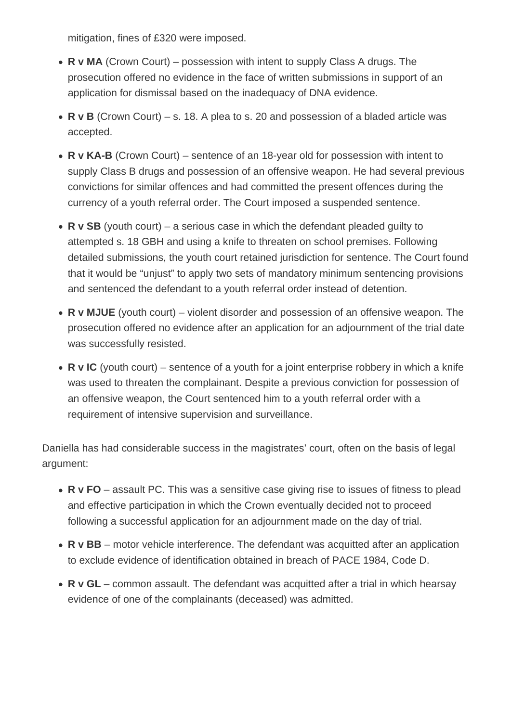mitigation, fines of £320 were imposed.

- **R v MA** (Crown Court) possession with intent to supply Class A drugs. The prosecution offered no evidence in the face of written submissions in support of an application for dismissal based on the inadequacy of DNA evidence.
- **R v B** (Crown Court) s. 18. A plea to s. 20 and possession of a bladed article was accepted.
- **R v KA-B** (Crown Court) sentence of an 18-year old for possession with intent to supply Class B drugs and possession of an offensive weapon. He had several previous convictions for similar offences and had committed the present offences during the currency of a youth referral order. The Court imposed a suspended sentence.
- **R v SB** (youth court) a serious case in which the defendant pleaded guilty to attempted s. 18 GBH and using a knife to threaten on school premises. Following detailed submissions, the youth court retained jurisdiction for sentence. The Court found that it would be "unjust" to apply two sets of mandatory minimum sentencing provisions and sentenced the defendant to a youth referral order instead of detention.
- **R v MJUE** (youth court) violent disorder and possession of an offensive weapon. The prosecution offered no evidence after an application for an adjournment of the trial date was successfully resisted.
- **R v IC** (youth court) sentence of a youth for a joint enterprise robbery in which a knife was used to threaten the complainant. Despite a previous conviction for possession of an offensive weapon, the Court sentenced him to a youth referral order with a requirement of intensive supervision and surveillance.

Daniella has had considerable success in the magistrates' court, often on the basis of legal argument:

- **R v FO** assault PC. This was a sensitive case giving rise to issues of fitness to plead and effective participation in which the Crown eventually decided not to proceed following a successful application for an adjournment made on the day of trial.
- **R v BB** motor vehicle interference. The defendant was acquitted after an application to exclude evidence of identification obtained in breach of PACE 1984, Code D.
- **R v GL** common assault. The defendant was acquitted after a trial in which hearsay evidence of one of the complainants (deceased) was admitted.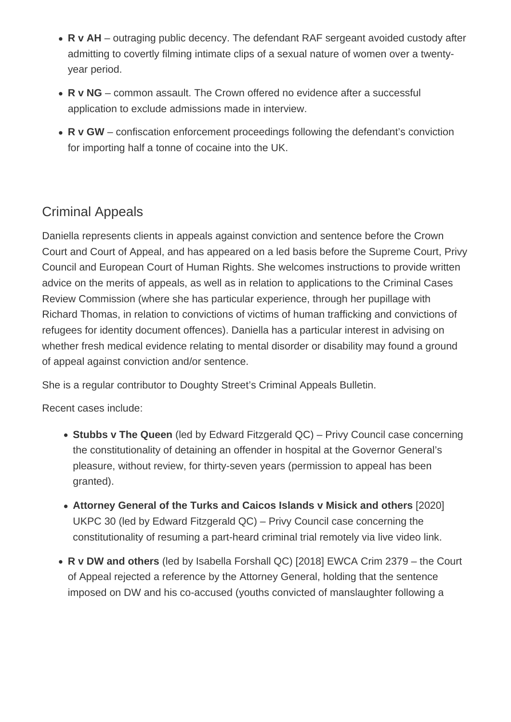- **R v AH** outraging public decency. The defendant RAF sergeant avoided custody after admitting to covertly filming intimate clips of a sexual nature of women over a twentyyear period.
- **R v NG** common assault. The Crown offered no evidence after a successful application to exclude admissions made in interview.
- **R v GW** confiscation enforcement proceedings following the defendant's conviction for importing half a tonne of cocaine into the UK.

## Criminal Appeals

Daniella represents clients in appeals against conviction and sentence before the Crown Court and Court of Appeal, and has appeared on a led basis before the Supreme Court, Privy Council and European Court of Human Rights. She welcomes instructions to provide written advice on the merits of appeals, as well as in relation to applications to the Criminal Cases Review Commission (where she has particular experience, through her pupillage with Richard Thomas, in relation to convictions of victims of human trafficking and convictions of refugees for identity document offences). Daniella has a particular interest in advising on whether fresh medical evidence relating to mental disorder or disability may found a ground of appeal against conviction and/or sentence.

She is a regular contributor to Doughty Street's Criminal Appeals Bulletin.

Recent cases include:

- **Stubbs v The Queen** (led by Edward Fitzgerald QC) Privy Council case concerning the constitutionality of detaining an offender in hospital at the Governor General's pleasure, without review, for thirty-seven years (permission to appeal has been granted).
- **Attorney General of the Turks and Caicos Islands v Misick and others** [2020] UKPC 30 (led by Edward Fitzgerald QC) – Privy Council case concerning the constitutionality of resuming a part-heard criminal trial remotely via live video link.
- **R v DW and others** (led by Isabella Forshall QC) [2018] EWCA Crim 2379 the Court of Appeal rejected a reference by the Attorney General, holding that the sentence imposed on DW and his co-accused (youths convicted of manslaughter following a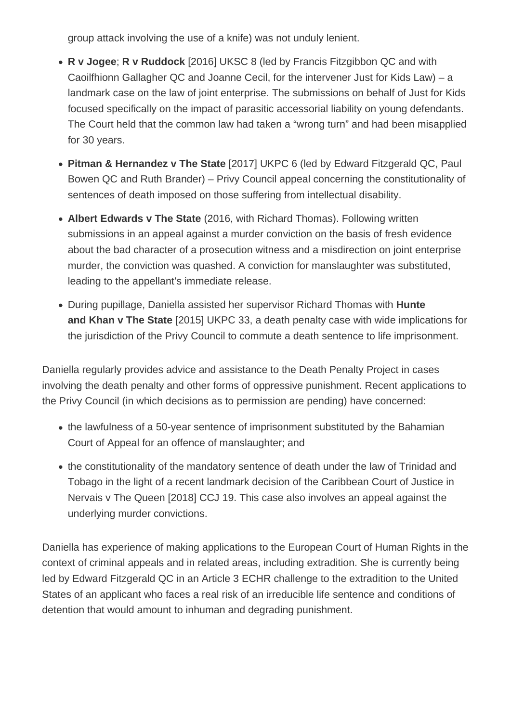group attack involving the use of a knife) was not unduly lenient.

- **R v Jogee**; **R v Ruddock** [2016] UKSC 8 (led by Francis Fitzgibbon QC and with Caoilfhionn Gallagher QC and Joanne Cecil, for the intervener Just for Kids Law) – a landmark case on the law of joint enterprise. The submissions on behalf of Just for Kids focused specifically on the impact of parasitic accessorial liability on young defendants. The Court held that the common law had taken a "wrong turn" and had been misapplied for 30 years.
- **Pitman & Hernandez v The State** [2017] UKPC 6 (led by Edward Fitzgerald QC, Paul Bowen QC and Ruth Brander) – Privy Council appeal concerning the constitutionality of sentences of death imposed on those suffering from intellectual disability.
- **Albert Edwards v The State** (2016, with Richard Thomas). Following written submissions in an appeal against a murder conviction on the basis of fresh evidence about the bad character of a prosecution witness and a misdirection on joint enterprise murder, the conviction was quashed. A conviction for manslaughter was substituted, leading to the appellant's immediate release.
- During pupillage, Daniella assisted her supervisor Richard Thomas with **Hunte and Khan v The State** [2015] UKPC 33, a death penalty case with wide implications for the jurisdiction of the Privy Council to commute a death sentence to life imprisonment.

Daniella regularly provides advice and assistance to the Death Penalty Project in cases involving the death penalty and other forms of oppressive punishment. Recent applications to the Privy Council (in which decisions as to permission are pending) have concerned:

- the lawfulness of a 50-year sentence of imprisonment substituted by the Bahamian Court of Appeal for an offence of manslaughter; and
- the constitutionality of the mandatory sentence of death under the law of Trinidad and Tobago in the light of a recent landmark decision of the Caribbean Court of Justice in Nervais v The Queen [2018] CCJ 19. This case also involves an appeal against the underlying murder convictions.

Daniella has experience of making applications to the European Court of Human Rights in the context of criminal appeals and in related areas, including extradition. She is currently being led by Edward Fitzgerald QC in an Article 3 ECHR challenge to the extradition to the United States of an applicant who faces a real risk of an irreducible life sentence and conditions of detention that would amount to inhuman and degrading punishment.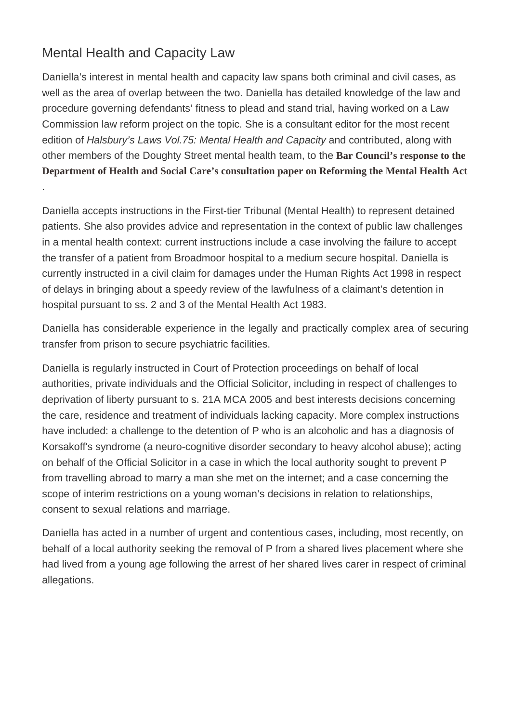### Mental Health and Capacity Law

.

Daniella's interest in mental health and capacity law spans both criminal and civil cases, as well as the area of overlap between the two. Daniella has detailed knowledge of the law and procedure governing defendants' fitness to plead and stand trial, having worked on a Law Commission law reform project on the topic. She is a consultant editor for the most recent edition of Halsbury's Laws Vol.75: Mental Health and Capacity and contributed, along with other members of the Doughty Street mental health team, to the [Bar Council's response to the](https://www.barcouncil.org.uk/uploads/assets/345af2e3-2c56-42cc-9d105f609b322ba0/Bar-Council-response-to-the-consultation-on-reforming-the-Mental-Health-Act.pdf) [Department of Health and Social Care's consultation paper on Reforming the Mental Health A](https://www.barcouncil.org.uk/uploads/assets/345af2e3-2c56-42cc-9d105f609b322ba0/Bar-Council-response-to-the-consultation-on-reforming-the-Mental-Health-Act.pdf)ct

Daniella accepts instructions in the First-tier Tribunal (Mental Health) to represent detained patients. She also provides advice and representation in the context of public law challenges in a mental health context: current instructions include a case involving the failure to accept the transfer of a patient from Broadmoor hospital to a medium secure hospital. Daniella is currently instructed in a civil claim for damages under the Human Rights Act 1998 in respect of delays in bringing about a speedy review of the lawfulness of a claimant's detention in hospital pursuant to ss. 2 and 3 of the Mental Health Act 1983.

Daniella has considerable experience in the legally and practically complex area of securing transfer from prison to secure psychiatric facilities.

Daniella is regularly instructed in Court of Protection proceedings on behalf of local authorities, private individuals and the Official Solicitor, including in respect of challenges to deprivation of liberty pursuant to s. 21A MCA 2005 and best interests decisions concerning the care, residence and treatment of individuals lacking capacity. More complex instructions have included: a challenge to the detention of P who is an alcoholic and has a diagnosis of Korsakoff's syndrome (a neuro-cognitive disorder secondary to heavy alcohol abuse); acting on behalf of the Official Solicitor in a case in which the local authority sought to prevent P from travelling abroad to marry a man she met on the internet; and a case concerning the scope of interim restrictions on a young woman's decisions in relation to relationships, consent to sexual relations and marriage.

Daniella has acted in a number of urgent and contentious cases, including, most recently, on behalf of a local authority seeking the removal of P from a shared lives placement where she had lived from a young age following the arrest of her shared lives carer in respect of criminal allegations.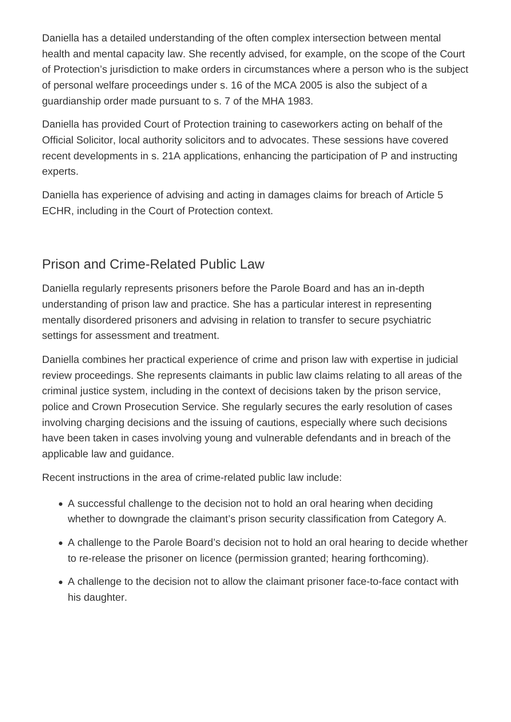Daniella has a detailed understanding of the often complex intersection between mental health and mental capacity law. She recently advised, for example, on the scope of the Court of Protection's jurisdiction to make orders in circumstances where a person who is the subject of personal welfare proceedings under s. 16 of the MCA 2005 is also the subject of a guardianship order made pursuant to s. 7 of the MHA 1983.

Daniella has provided Court of Protection training to caseworkers acting on behalf of the Official Solicitor, local authority solicitors and to advocates. These sessions have covered recent developments in s. 21A applications, enhancing the participation of P and instructing experts.

Daniella has experience of advising and acting in damages claims for breach of Article 5 ECHR, including in the Court of Protection context.

### Prison and Crime-Related Public Law

Daniella regularly represents prisoners before the Parole Board and has an in-depth understanding of prison law and practice. She has a particular interest in representing mentally disordered prisoners and advising in relation to transfer to secure psychiatric settings for assessment and treatment.

Daniella combines her practical experience of crime and prison law with expertise in judicial review proceedings. She represents claimants in public law claims relating to all areas of the criminal justice system, including in the context of decisions taken by the prison service, police and Crown Prosecution Service. She regularly secures the early resolution of cases involving charging decisions and the issuing of cautions, especially where such decisions have been taken in cases involving young and vulnerable defendants and in breach of the applicable law and guidance.

Recent instructions in the area of crime-related public law include:

- A successful challenge to the decision not to hold an oral hearing when deciding whether to downgrade the claimant's prison security classification from Category A.
- A challenge to the Parole Board's decision not to hold an oral hearing to decide whether to re-release the prisoner on licence (permission granted; hearing forthcoming).
- A challenge to the decision not to allow the claimant prisoner face-to-face contact with his daughter.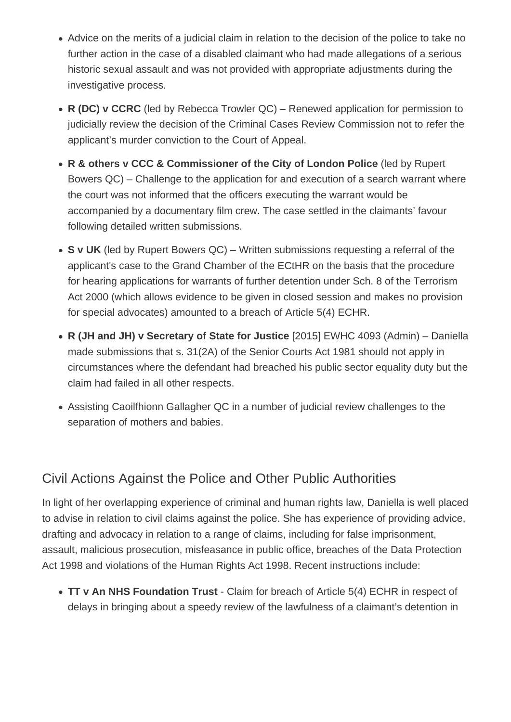- Advice on the merits of a judicial claim in relation to the decision of the police to take no further action in the case of a disabled claimant who had made allegations of a serious historic sexual assault and was not provided with appropriate adjustments during the investigative process.
- **R (DC) v CCRC** (led by Rebecca Trowler QC) Renewed application for permission to judicially review the decision of the Criminal Cases Review Commission not to refer the applicant's murder conviction to the Court of Appeal.
- **R & others v CCC & Commissioner of the City of London Police** (led by Rupert Bowers QC) – Challenge to the application for and execution of a search warrant where the court was not informed that the officers executing the warrant would be accompanied by a documentary film crew. The case settled in the claimants' favour following detailed written submissions.
- **S v UK** (led by Rupert Bowers QC) Written submissions requesting a referral of the applicant's case to the Grand Chamber of the ECtHR on the basis that the procedure for hearing applications for warrants of further detention under Sch. 8 of the Terrorism Act 2000 (which allows evidence to be given in closed session and makes no provision for special advocates) amounted to a breach of Article 5(4) ECHR.
- **R (JH and JH) v Secretary of State for Justice** [2015] EWHC 4093 (Admin) Daniella made submissions that s. 31(2A) of the Senior Courts Act 1981 should not apply in circumstances where the defendant had breached his public sector equality duty but the claim had failed in all other respects.
- Assisting Caoilfhionn Gallagher QC in a number of judicial review challenges to the separation of mothers and babies.

## Civil Actions Against the Police and Other Public Authorities

In light of her overlapping experience of criminal and human rights law, Daniella is well placed to advise in relation to civil claims against the police. She has experience of providing advice, drafting and advocacy in relation to a range of claims, including for false imprisonment, assault, malicious prosecution, misfeasance in public office, breaches of the Data Protection Act 1998 and violations of the Human Rights Act 1998. Recent instructions include:

**TT v An NHS Foundation Trust** - Claim for breach of Article 5(4) ECHR in respect of delays in bringing about a speedy review of the lawfulness of a claimant's detention in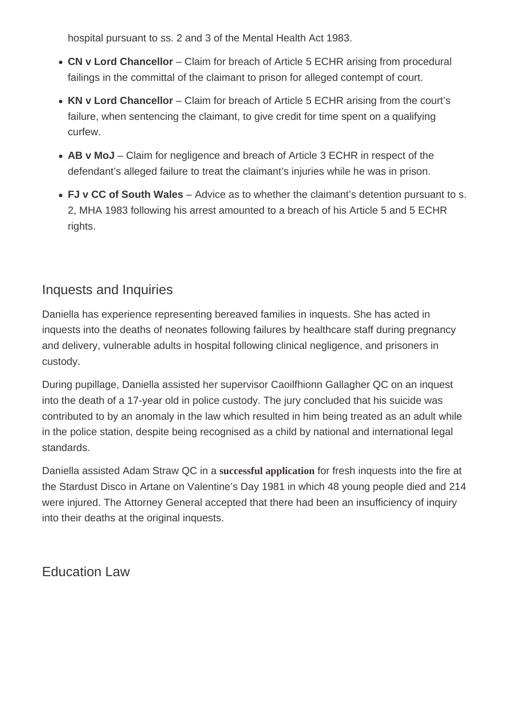hospital pursuant to ss. 2 and 3 of the Mental Health Act 1983.

- CN v Lord Chancellor Claim for breach of Article 5 ECHR arising from procedural failings in the committal of the claimant to prison for alleged contempt of court.
- KN v Lord Chancellor Claim for breach of Article 5 ECHR arising from the court's failure, when sentencing the claimant, to give credit for time spent on a qualifying curfew.
- AB v MoJ Claim for negligence and breach of Article 3 ECHR in respect of the defendant's alleged failure to treat the claimant's injuries while he was in prison.
- FJ v CC of South Wales Advice as to whether the claimant's detention pursuant to s. 2, MHA 1983 following his arrest amounted to a breach of his Article 5 and 5 ECHR rights.

### Inquests and Inquiries

Daniella has experience representing bereaved families in inquests. She has acted in inquests into the deaths of neonates following failures by healthcare staff during pregnancy and delivery, vulnerable adults in hospital following clinical negligence, and prisoners in custody.

During pupillage, Daniella assisted her supervisor Caoilfhionn Gallagher QC on an inquest into the death of a 17-year old in police custody. The jury concluded that his suicide was contributed to by an anomaly in the law which resulted in him being treated as an adult while in the police station, despite being recognised as a child by national and international legal standards.

Daniella assisted Adam Straw QC in a [successful application](https://www.irishtimes.com/news/crime-and-law/fresh-inquest-into-stardust-disaster-to-be-held-1.4030311) fresh inquests into the fire at the Stardust Disco in Artane on Valentine's Day 1981 in which 48 young people died and 214 were injured. The Attorney General accepted that there had been an insufficiency of inquiry into their deaths at the original inquests.

Education Law